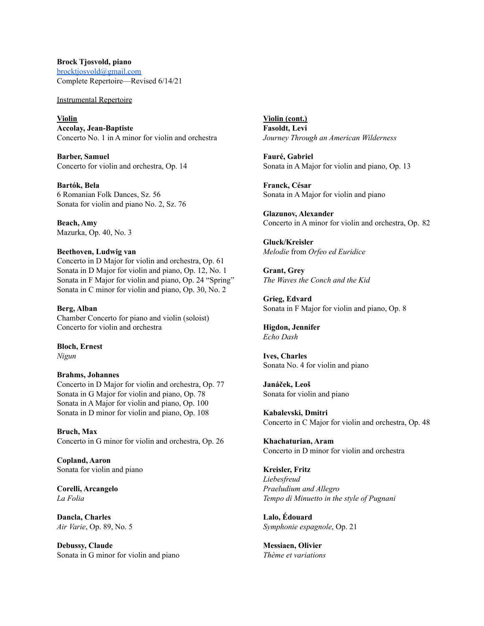**Brock Tjosvold, piano** [brocktjosvold@gmail.com](mailto:brocktjosvold@gmail.com) Complete Repertoire––Revised 6/14/21

Instrumental Repertoire

**Violin Accolay, Jean-Baptiste** Concerto No. 1 in A minor for violin and orchestra

**Barber, Samuel** Concerto for violin and orchestra, Op. 14

**Bartók, Bela** 6 Romanian Folk Dances, Sz. 56 Sonata for violin and piano No. 2, Sz. 76

**Beach, Amy** Mazurka, Op. 40, No. 3

#### **Beethoven, Ludwig van**

Concerto in D Major for violin and orchestra, Op. 61 Sonata in D Major for violin and piano, Op. 12, No. 1 Sonata in F Major for violin and piano, Op. 24 "Spring" Sonata in C minor for violin and piano, Op. 30, No. 2

**Berg, Alban** Chamber Concerto for piano and violin (soloist) Concerto for violin and orchestra

**Bloch, Ernest** *Nigun*

#### **Brahms, Johannes**

Concerto in D Major for violin and orchestra, Op. 77 Sonata in G Major for violin and piano, Op. 78 Sonata in A Major for violin and piano, Op. 100 Sonata in D minor for violin and piano, Op. 108

**Bruch, Max** Concerto in G minor for violin and orchestra, Op. 26

**Copland, Aaron** Sonata for violin and piano

**Corelli, Arcangelo** *La Folia*

**Dancla, Charles** *Air Varie*, Op. 89, No. 5

**Debussy, Claude** Sonata in G minor for violin and piano **Violin (cont.) Fasoldt, Levi** *Journey Through an American Wilderness*

**Fauré, Gabriel** Sonata in A Major for violin and piano, Op. 13

**Franck, César** Sonata in A Major for violin and piano

**Glazunov, Alexander** Concerto in A minor for violin and orchestra, Op. 82

**Gluck/Kreisler** *Melodie* from *Orfeo ed Euridice*

**Grant, Grey** *The Waves the Conch and the Kid*

**Grieg, Edvard** Sonata in F Major for violin and piano, Op. 8

**Higdon, Jennifer** *Echo Dash*

**Ives, Charles** Sonata No. 4 for violin and piano

**Janáček, Leoš** Sonata for violin and piano

**Kabalevski, Dmitri** Concerto in C Major for violin and orchestra, Op. 48

**Khachaturian, Aram** Concerto in D minor for violin and orchestra

**Kreisler, Fritz** *Liebesfreud Praeludium and Allegro Tempo di Minuetto in the style of Pugnani*

**Lalo, Édouard** *Symphonie espagnole*, Op. 21

**Messiaen, Olivier** *Thème et variations*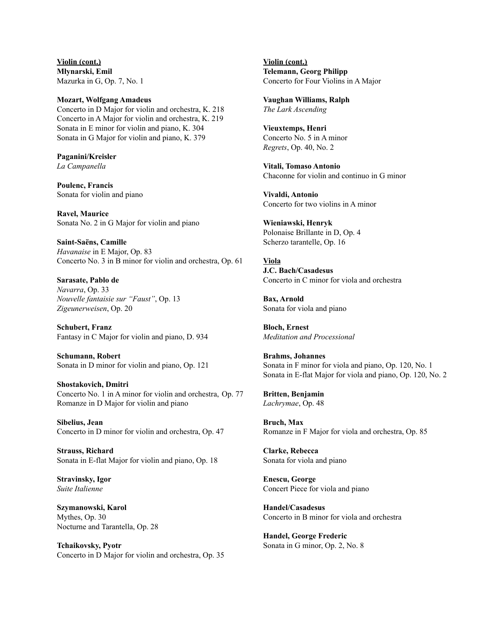**Violin (cont.) Młynarski, Emil** Mazurka in G, Op. 7, No. 1

**Mozart, Wolfgang Amadeus** Concerto in D Major for violin and orchestra, K. 218 Concerto in A Major for violin and orchestra, K. 219 Sonata in E minor for violin and piano, K. 304 Sonata in G Major for violin and piano, K. 379

**Paganini/Kreisler** *La Campanella*

**Poulenc, Francis** Sonata for violin and piano

**Ravel, Maurice** Sonata No. 2 in G Major for violin and piano

**Saint-Saëns, Camille** *Havanaise* in E Major, Op. 83 Concerto No. 3 in B minor for violin and orchestra, Op. 61

**Sarasate, Pablo de** *Navarra*, Op. 33 *Nouvelle fantaisie sur "Faust"*, Op. 13 *Zigeunerweisen*, Op. 20

**Schubert, Franz** Fantasy in C Major for violin and piano, D. 934

**Schumann, Robert** Sonata in D minor for violin and piano, Op. 121

**Shostakovich, Dmitri** Concerto No. 1 in A minor for violin and orchestra, Op. 77 Romanze in D Major for violin and piano

**Sibelius, Jean** Concerto in D minor for violin and orchestra, Op. 47

**Strauss, Richard** Sonata in E-flat Major for violin and piano, Op. 18

**Stravinsky, Igor** *Suite Italienne*

**Szymanowski, Karol** Mythes, Op. 30 Nocturne and Tarantella, Op. 28

**Tchaikovsky, Pyotr** Concerto in D Major for violin and orchestra, Op. 35 **Violin (cont.) Telemann, Georg Philipp** Concerto for Four Violins in A Major

**Vaughan Williams, Ralph** *The Lark Ascending*

**Vieuxtemps, Henri** Concerto No. 5 in A minor *Regrets*, Op. 40, No. 2

**Vitali, Tomaso Antonio** Chaconne for violin and continuo in G minor

**Vivaldi, Antonio** Concerto for two violins in A minor

**Wieniawski, Henryk** Polonaise Brillante in D, Op. 4 Scherzo tarantelle, Op. 16

**Viola J.C. Bach/Casadesus** Concerto in C minor for viola and orchestra

**Bax, Arnold** Sonata for viola and piano

**Bloch, Ernest** *Meditation and Processional*

**Brahms, Johannes** Sonata in F minor for viola and piano, Op. 120, No. 1 Sonata in E-flat Major for viola and piano, Op. 120, No. 2

**Britten, Benjamin** *Lachrymae*, Op. 48

**Bruch, Max** Romanze in F Major for viola and orchestra, Op. 85

**Clarke, Rebecca** Sonata for viola and piano

**Enescu, George** Concert Piece for viola and piano

**Handel/Casadesus** Concerto in B minor for viola and orchestra

**Handel, George Frederic** Sonata in G minor, Op. 2, No. 8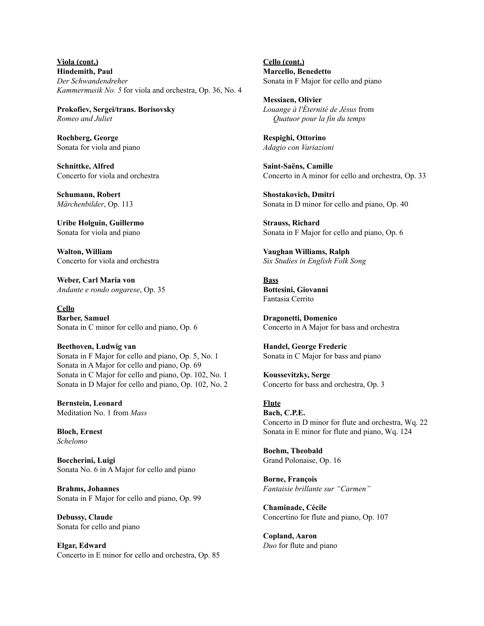**Viola (cont.) Hindemith, Paul** *Der Schwandendreher Kammermusik No. 5* for viola and orchestra, Op. 36, No. 4

**Prokofiev, Sergei/trans. Borisovsky** *Romeo and Juliet*

**Rochberg, George** Sonata for viola and piano

**Schnittke, Alfred** Concerto for viola and orchestra

**Schumann, Robert** *Märchenbilder*, Op. 113

**Uribe Holguin, Guillermo** Sonata for viola and piano

**Walton, William** Concerto for viola and orchestra

**Weber, Carl Maria von** *Andante e rondo ongarese*, Op. 35

**Cello Barber, Samuel** Sonata in C minor for cello and piano, Op. 6

**Beethoven, Ludwig van** Sonata in F Major for cello and piano, Op. 5, No. 1 Sonata in A Major for cello and piano, Op. 69 Sonata in C Major for cello and piano, Op. 102, No. 1 Sonata in D Major for cello and piano, Op. 102, No. 2

**Bernstein, Leonard** Meditation No. 1 from *Mass*

**Bloch, Ernest** *Schelomo*

**Boccherini, Luigi** Sonata No. 6 in A Major for cello and piano

**Brahms, Johannes** Sonata in F Major for cello and piano, Op. 99

**Debussy, Claude** Sonata for cello and piano

**Elgar, Edward** Concerto in E minor for cello and orchestra, Op. 85 **Cello (cont.) Marcello, Benedetto** Sonata in F Major for cello and piano

**Messiaen, Olivier** *Louange à l'Éternité de Jésus* from *Quatuor pour la fin du temps*

**Respighi, Ottorino** *Adagio con Variazioni*

**Saint-Saëns, Camille** Concerto in A minor for cello and orchestra, Op. 33

**Shostakovich, Dmitri** Sonata in D minor for cello and piano, Op. 40

**Strauss, Richard** Sonata in F Major for cello and piano, Op. 6

**Vaughan Williams, Ralph** *Six Studies in English Folk Song*

**Bass Bottesini, Giovanni** Fantasia Cerrito

**Dragonetti, Domenico** Concerto in A Major for bass and orchestra

**Handel, George Frederic** Sonata in C Major for bass and piano

**Koussevitzky, Serge** Concerto for bass and orchestra, Op. 3

**Flute Bach, C.P.E.** Concerto in D minor for flute and orchestra, Wq. 22 Sonata in E minor for flute and piano, Wq. 124

**Boehm, Theobald** Grand Polonaise, Op. 16

**Borne, François** *Fantaisie brillante sur "Carmen"*

**Chaminade, Cécile** Concertino for flute and piano, Op. 107

**Copland, Aaron** *Duo* for flute and piano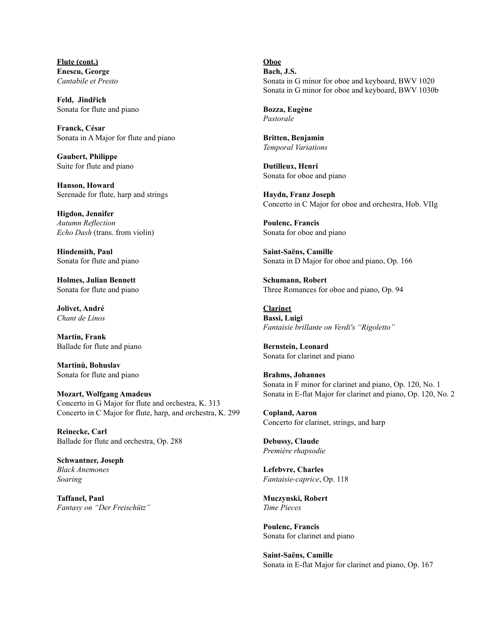**Flute (cont.) Enescu, George** *Cantabile et Presto*

**Feld, Jindřich** Sonata for flute and piano

**Franck, César** Sonata in A Major for flute and piano

**Gaubert, Philippe** Suite for flute and piano

**Hanson, Howard** Serenade for flute, harp and strings

**Higdon, Jennifer** *Autumn Reflection Echo Dash* (trans. from violin)

**Hindemith, Paul** Sonata for flute and piano

**Holmes, Julian Bennett** Sonata for flute and piano

**Jolivet, André** *Chant de Linos*

**Martin, Frank** Ballade for flute and piano

**Martinů, Bohuslav** Sonata for flute and piano

**Mozart, Wolfgang Amadeus** Concerto in G Major for flute and orchestra, K. 313 Concerto in C Major for flute, harp, and orchestra, K. 299

**Reinecke, Carl** Ballade for flute and orchestra, Op. 288

**Schwantner, Joseph** *Black Anemones Soaring*

**Taffanel, Paul** *Fantasy on "Der Freischütz"* **Oboe**

**Bach, J.S.** Sonata in G minor for oboe and keyboard, BWV 1020 Sonata in G minor for oboe and keyboard, BWV 1030b

**Bozza, Eugène** *Pastorale*

**Britten, Benjamin** *Temporal Variations*

**Dutilleux, Henri** Sonata for oboe and piano

**Haydn, Franz Joseph** Concerto in C Major for oboe and orchestra, Hob. VIIg

**Poulenc, Francis** Sonata for oboe and piano

**Saint-Saëns, Camille** Sonata in D Major for oboe and piano, Op. 166

**Schumann, Robert** Three Romances for oboe and piano, Op. 94

**Clarinet Bassi, Luigi** *Fantaisie brillante on [V](https://en.wikipedia.org/wiki/Verdi)erdi's "Rigoletto"*

**Bernstein, Leonard** Sonata for clarinet and piano

**Brahms, Johannes** Sonata in F minor for clarinet and piano, Op. 120, No. 1 Sonata in E-flat Major for clarinet and piano, Op. 120, No. 2

**Copland, Aaron** Concerto for clarinet, strings, and harp

**Debussy, Claude** *Première rhapsodie*

**Lefebvre, Charles** *Fantaisie-caprice*, Op. 118

**Muczynski, Robert** *Time Pieces*

**Poulenc, Francis** Sonata for clarinet and piano

**Saint-Saëns, Camille** Sonata in E-flat Major for clarinet and piano, Op. 167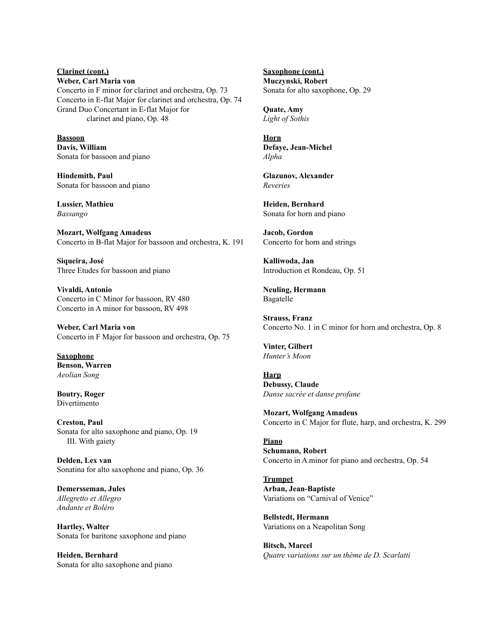## **Clarinet (cont.) Weber, Carl Maria von** Concerto in F minor for clarinet and orchestra, Op. 73 Concerto in E-flat Major for clarinet and orchestra, Op. 74 Grand Duo Concertant in E-flat Major for clarinet and piano, Op. 48

**Bassoon Davis, William** Sonata for bassoon and piano

**Hindemith, Paul** Sonata for bassoon and piano

**Lussier, Mathieu** *Bassango*

**Mozart, Wolfgang Amadeus** Concerto in B-flat Major for bassoon and orchestra, K. 191

**Siqueira, José** Three Etudes for bassoon and piano

**Vivaldi, Antonio** Concerto in C Minor for bassoon, RV 480 Concerto in A minor for bassoon, RV 498

**Weber, Carl Maria von** Concerto in F Major for bassoon and orchestra, Op. 75

**Saxophone Benson, Warren** *Aeolian Song*

**Boutry, Roger** Divertimento

**Creston, Paul** Sonata for alto saxophone and piano, Op. 19 III. With gaiety

**Delden, Lex van** Sonatina for alto saxophone and piano, Op. 36

**Demersseman, Jules** *Allegretto et Allegro Andante et Boléro*

**Hartley, Walter** Sonata for baritone saxophone and piano

**Heiden, Bernhard** Sonata for alto saxophone and piano **Saxophone (cont.) Muczynski, Robert** Sonata for alto saxophone, Op. 29

**Quate, Amy** *Light of Sothis*

**Horn Defaye, Jean-Michel** *Alpha*

**Glazunov, Alexander** *Reveries*

**Heiden, Bernhard** Sonata for horn and piano

**Jacob, Gordon** Concerto for horn and strings

**Kalliwoda, Jan** Introduction et Rondeau, Op. 51

**Neuling, Hermann** Bagatelle

**Strauss, Franz** Concerto No. 1 in C minor for horn and orchestra, Op. 8

**Vinter, Gilbert** *Hunter's Moon*

**Harp Debussy, Claude** *Danse sacrée et danse profane*

**Mozart, Wolfgang Amadeus** Concerto in C Major for flute, harp, and orchestra, K. 299

**Piano Schumann, Robert** Concerto in A minor for piano and orchestra, Op. 54

**Trumpet Arban, Jean-Baptiste** Variations on "Carnival of Venice"

**Bellstedt, Hermann** Variations on a Neapolitan Song

**Bitsch, Marcel** *Quatre variations sur un thème de D. Scarlatti*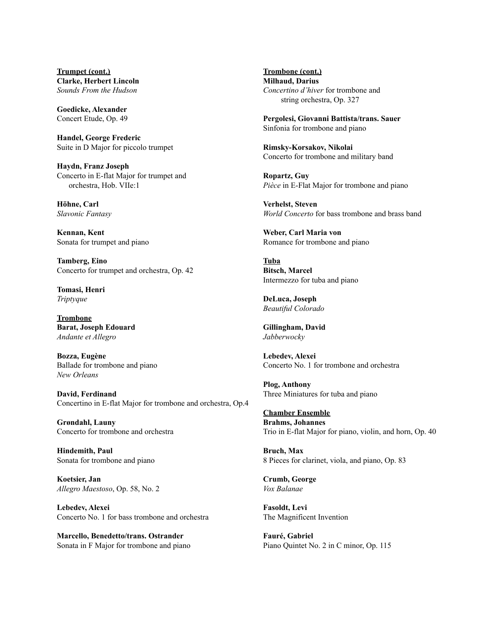**Trumpet (cont.) Clarke, Herbert Lincoln** *Sounds From the Hudson*

**Goedicke, Alexander** Concert Etude, Op. 49

**Handel, George Frederic** Suite in D Major for piccolo trumpet

**Haydn, Franz Joseph** Concerto in E-flat Major for trumpet and orchestra, Hob. VIIe:1

**Höhne, Carl** *Slavonic Fantasy*

**Kennan, Kent** Sonata for trumpet and piano

**Tamberg, Eino** Concerto for trumpet and orchestra, Op. 42

**Tomasi, Henri** *Triptyque*

**Trombone Barat, Joseph Edouard** *Andante et Allegro*

**Bozza, Eugène** Ballade for trombone and piano *New Orleans*

**David, Ferdinand** Concertino in E-flat Major for trombone and orchestra, Op.4

**Grøndahl, Launy** Concerto for trombone and orchestra

**Hindemith, Paul** Sonata for trombone and piano

**Koetsier, Jan** *Allegro Maestoso*, Op. 58, No. 2

**Lebedev, Alexei** Concerto No. 1 for bass trombone and orchestra

**Marcello, Benedetto/trans. Ostrander** Sonata in F Major for trombone and piano **Trombone (cont.) Milhaud, Darius** *Concertino d'hiver* for trombone and string orchestra, Op. 327

**Pergolesi, Giovanni Battista/trans. Sauer** Sinfonia for trombone and piano

**Rimsky-Korsakov, Nikolai** Concerto for trombone and military band

**Ropartz, Guy** *Pièce* in E-Flat Major for trombone and piano

**Verhelst, Steven** *World Concerto* for bass trombone and brass band

**Weber, Carl Maria von** Romance for trombone and piano

**Tuba Bitsch, Marcel** Intermezzo for tuba and piano

**DeLuca, Joseph** *Beautiful Colorado*

**Gillingham, David** *Jabberwocky*

**Lebedev, Alexei** Concerto No. 1 for trombone and orchestra

**Plog, Anthony** Three Miniatures for tuba and piano

**Chamber Ensemble Brahms, Johannes** Trio in E-flat Major for piano, violin, and horn, Op. 40

**Bruch, Max** 8 Pieces for clarinet, viola, and piano, Op. 83

**Crumb, George** *Vox Balanae*

**Fasoldt, Levi** The Magnificent Invention

**Fauré, Gabriel** Piano Quintet No. 2 in C minor, Op. 115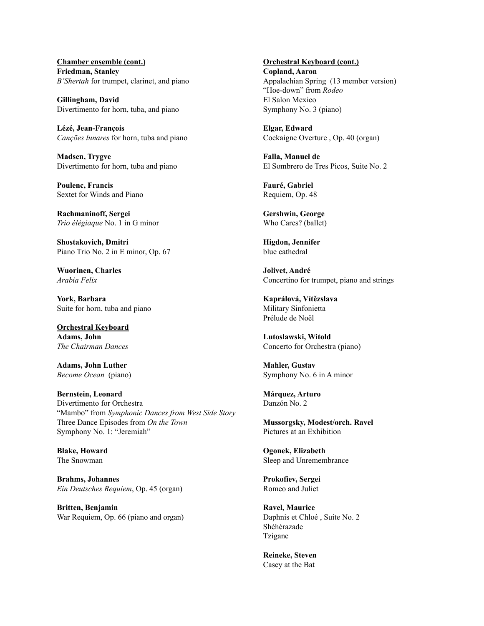**Chamber ensemble (cont.) Friedman, Stanley** *B'Shertah* for trumpet, clarinet, and piano

**Gillingham, David** Divertimento for horn, tuba, and piano

**Lézé, Jean-François** *Canções lunares* for horn, tuba and piano

**Madsen, Trygve** Divertimento for horn, tuba and piano

**Poulenc, Francis** Sextet for Winds and Piano

**Rachmaninoff, Sergei** *Trio élégiaque* No. 1 in G minor

**Shostakovich, Dmitri** Piano Trio No. 2 in E minor, Op. 67

**Wuorinen, Charles** *Arabia Felix*

**York, Barbara** Suite for horn, tuba and piano

**Orchestral Keyboard Adams, John** *The Chairman Dances*

**Adams, John Luther** *Become Ocean* (piano)

**Bernstein, Leonard** Divertimento for Orchestra "Mambo" from *Symphonic Dances from West Side Story* Three Dance Episodes from *On the Town* Symphony No. 1: "Jeremiah"

**Blake, Howard** The Snowman

**Brahms, Johannes** *Ein Deutsches Requiem*, Op. 45 (organ)

**Britten, Benjamin** War Requiem, Op. 66 (piano and organ) **Orchestral Keyboard (cont.) Copland, Aaron** Appalachian Spring (13 member version) "Hoe-down" from *Rodeo* El Salon Mexico Symphony No. 3 (piano)

**Elgar, Edward** Cockaigne Overture , Op. 40 (organ)

**Falla, Manuel de** El Sombrero de Tres Picos, Suite No. 2

**Fauré, Gabriel** Requiem, Op. 48

**Gershwin, George** Who Cares? (ballet)

**Higdon, Jennifer** blue cathedral

**Jolivet, André** Concertino for trumpet, piano and strings

**Kaprálová, Vítězslava** Military Sinfonietta Prélude de Noël

**Lutoslawski, Witold** Concerto for Orchestra (piano)

**Mahler, Gustav** Symphony No. 6 in A minor

**Márquez, Arturo** Danzón No. 2

**Mussorgsky, Modest/orch. Ravel** Pictures at an Exhibition

**Ogonek, Elizabeth** Sleep and Unremembrance

**Prokofiev, Sergei** Romeo and Juliet

**Ravel, Maurice** Daphnis et Chloé , Suite No. 2 Shéhérazade Tzigane

**Reineke, Steven** Casey at the Bat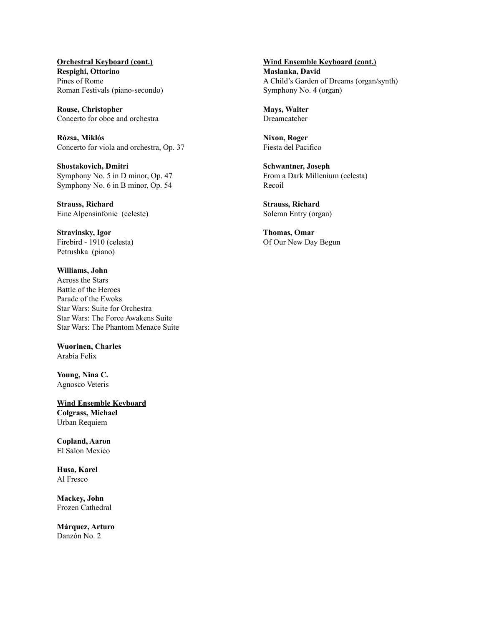**Orchestral Keyboard (cont.) Respighi, Ottorino** Pines of Rome Roman Festivals (piano-secondo)

**Rouse, Christopher** Concerto for oboe and orchestra

**Rózsa, Miklós** Concerto for viola and orchestra, Op. 37

**Shostakovich, Dmitri** Symphony No. 5 in D minor, Op. 47 Symphony No. 6 in B minor, Op. 54

**Strauss, Richard** Eine Alpensinfonie (celeste)

**Stravinsky, Igor** Firebird - 1910 (celesta) Petrushka (piano)

**Williams, John** Across the Stars Battle of the Heroes Parade of the Ewoks Star Wars: Suite for Orchestra Star Wars: The Force Awakens Suite Star Wars: The Phantom Menace Suite

**Wuorinen, Charles** Arabia Felix

**Young, Nina C.** Agnosco Veteris

**Wind Ensemble Keyboard Colgrass, Michael** Urban Requiem

**Copland, Aaron** El Salon Mexico

**Husa, Karel** Al Fresco

**Mackey, John** Frozen Cathedral

**Márquez, Arturo** Danzón No. 2

**Wind Ensemble Keyboard (cont.) Maslanka, David** A Child's Garden of Dreams (organ/synth) Symphony No. 4 (organ)

**Mays, Walter** Dreamcatcher

**Nixon, Roger** Fiesta del Pacifico

**Schwantner, Joseph** From a Dark Millenium (celesta) Recoil

**Strauss, Richard** Solemn Entry (organ)

**Thomas, Omar** Of Our New Day Begun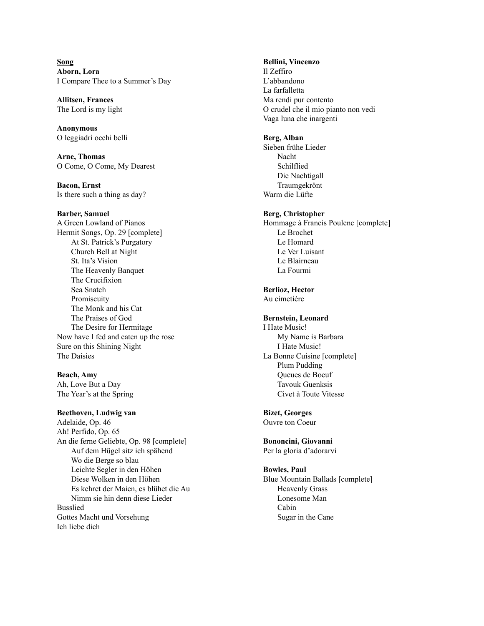**Song Aborn, Lora** I Compare Thee to a Summer's Day

**Allitsen, Frances** The Lord is my light

**Anonymous** O leggiadri occhi belli

**Arne, Thomas** O Come, O Come, My Dearest

**Bacon, Ernst** Is there such a thing as day?

#### **Barber, Samuel**

A Green Lowland of Pianos Hermit Songs, Op. 29 [complete] At St. Patrick's Purgatory Church Bell at Night St. Ita's Vision The Heavenly Banquet The Crucifixion Sea Snatch Promiscuity The Monk and his Cat The Praises of God The Desire for Hermitage Now have I fed and eaten up the rose Sure on this Shining Night The Daisies

## **Beach, Amy**

Ah, Love But a Day The Year's at the Spring

#### **Beethoven, Ludwig van**

Adelaide, Op. 46 Ah! Perfido, Op. 65 An die ferne Geliebte, Op. 98 [complete] Auf dem Hügel sitz ich spähend Wo die Berge so blau Leichte Segler in den Höhen Diese Wolken in den Höhen Es kehret der Maien, es blühet die Au Nimm sie hin denn diese Lieder Busslied Gottes Macht und Vorsehung Ich liebe dich

**Bellini, Vincenzo** Il Zeffiro L'abbandono La farfalletta Ma rendi pur contento O crudel che il mio pianto non vedi Vaga luna che inargenti

#### **Berg, Alban**

Sieben frühe Lieder Nacht Schilflied Die Nachtigall Traumgekrönt Warm die Lüfte

#### **Berg, Christopher**

Hommage à Francis Poulenc [complete] Le Brochet Le Homard Le Ver Luisant Le Blairneau La Fourmi

#### **Berlioz, Hector**

Au cimetière

## **Bernstein, Leonard**

I Hate Music! My Name is Barbara I Hate Music! La Bonne Cuisine [complete] Plum Pudding Queues de Boeuf Tavouk Guenksis Civet à Toute Vitesse

## **Bizet, Georges**

Ouvre ton Coeur

# **Bononcini, Giovanni**

Per la gloria d'adorarvi

# **Bowles, Paul**

Blue Mountain Ballads [complete] Heavenly Grass Lonesome Man Cabin Sugar in the Cane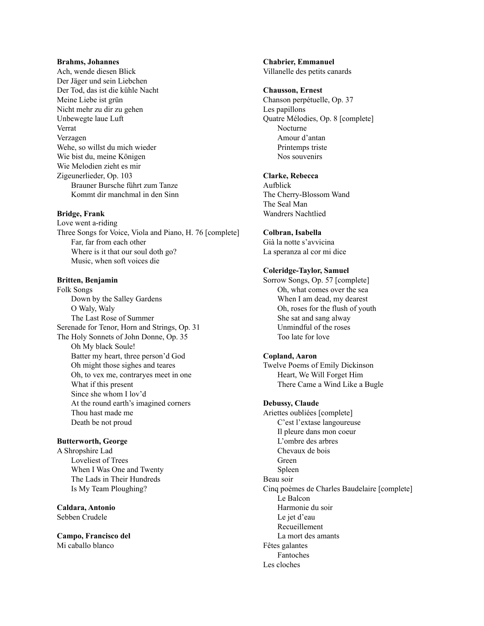#### **Brahms, Johannes**

Ach, wende diesen Blick Der Jäger und sein Liebchen Der Tod, das ist die kühle Nacht Meine Liebe ist grün Nicht mehr zu dir zu gehen Unbewegte laue Luft Verrat Verzagen Wehe, so willst du mich wieder Wie bist du, meine Königen Wie Melodien zieht es mir Zigeunerlieder, Op. 103 Brauner Bursche führt zum Tanze Kommt dir manchmal in den Sinn

## **Bridge, Frank**

Love went a-riding Three Songs for Voice, Viola and Piano, H. 76 [complete] Far, far from each other Where is it that our soul doth go? Music, when soft voices die

#### **Britten, Benjamin**

Folk Songs Down by the Salley Gardens O Waly, Waly The Last Rose of Summer Serenade for Tenor, Horn and Strings, Op. 31 The Holy Sonnets of John Donne, Op. 35 Oh My black Soule! Batter my heart, three person'd God Oh might those sighes and teares Oh, to vex me, contraryes meet in one What if this present Since she whom I lov'd At the round earth's imagined corners Thou hast made me Death be not proud

#### **Butterworth, George**

A Shropshire Lad Loveliest of Trees When I Was One and Twenty The Lads in Their Hundreds Is My Team Ploughing?

**Caldara, Antonio** Sebben Crudele

**Campo, Francisco del** Mi caballo blanco

**Chabrier, Emmanuel** Villanelle des petits canards

#### **Chausson, Ernest**

Chanson perpétuelle, Op. 37 Les papillons Quatre Mélodies, Op. 8 [complete] Nocturne Amour d'antan Printemps triste Nos souvenirs

### **Clarke, Rebecca**

Aufblick The Cherry-Blossom Wand The Seal Man Wandrers Nachtlied

## **Colbran, Isabella**

Già la notte s'avvicina La speranza al cor mi dice

#### **Coleridge-Taylor, Samuel**

Sorrow Songs, Op. 57 [complete] Oh, what comes over the sea When I am dead, my dearest Oh, roses for the flush of youth She sat and sang alway Unmindful of the roses Too late for love

#### **Copland, Aaron**

Twelve Poems of Emily Dickinson Heart, We Will Forget Him There Came a Wind Like a Bugle

#### **Debussy, Claude**

Ariettes oubliées [complete] C'est l'extase langoureuse Il pleure dans mon coeur L'ombre des arbres Chevaux de bois Green Spleen Beau soir Cinq poèmes de Charles Baudelaire [complete] Le Balcon Harmonie du soir Le jet d'eau Recueillement La mort des amants Fêtes galantes Fantoches Les cloches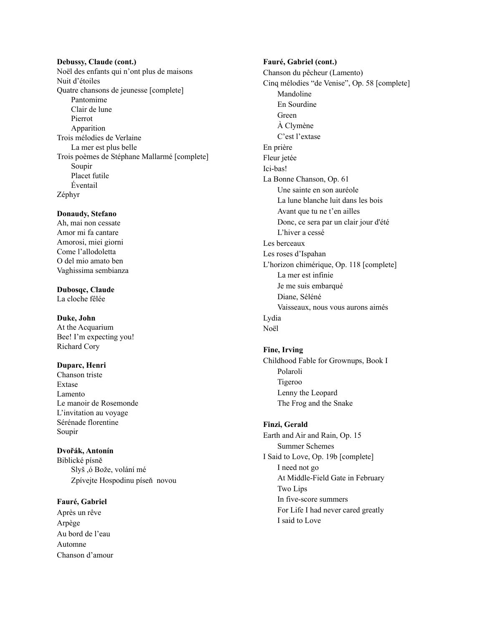**Debussy, Claude (cont.)** Noël des enfants qui n'ont plus de maisons Nuit d'étoiles Quatre chansons de jeunesse [complete] Pantomime Clair de lune Pierrot Apparition Trois mélodies de Verlaine La mer est plus belle Trois poèmes de Stéphane Mallarmé [complete] Soupir Placet futile Éventail Zéphyr

#### **Donaudy, Stefano**

Ah, mai non cessate Amor mi fa cantare Amorosi, miei giorni Come l'allodoletta O del mio amato ben Vaghissima sembianza

**Dubosqc, Claude** La cloche fêlée

## **Duke, John**

At the Acquarium Bee! I'm expecting you! Richard Cory

## **Duparc, Henri**

Chanson triste Extase Lamento Le manoir de Rosemonde L'invitation au voyage Sérénade florentine Soupir

#### **Dvořák, Antonín**

Biblické písně Slyš ,ó Bože, volání mé Zpívejte Hospodinu píseň novou

#### **Fauré, Gabriel**

Après un rêve Arpège Au bord de l'eau Automne Chanson d'amour **Fauré, Gabriel (cont.)** Chanson du pêcheur (Lamento) Cinq mélodies "de Venise", Op. 58 [complete] Mandoline En Sourdine Green À Clymène C'est l'extase En prière Fleur jetée Ici-bas! La Bonne Chanson, Op. 61 Une sainte en son auréole La lune blanche luit dans les bois Avant que tu ne t'en ailles Donc, ce sera par un clair jour d'été L'hiver a cessé Les berceaux Les roses d'Ispahan L'horizon chimérique, Op. 118 [complete] La mer est infinie Je me suis embarqué Diane, Séléné Vaisseaux, nous vous aurons aimés Lydia Noël

#### **Fine, Irving**

Childhood Fable for Grownups, Book I Polaroli Tigeroo Lenny the Leopard The Frog and the Snake

#### **Finzi, Gerald**

Earth and Air and Rain, Op. 15 Summer Schemes I Said to Love, Op. 19b [complete] I need not go At Middle-Field Gate in February Two Lips In five-score summers For Life I had never cared greatly I said to Love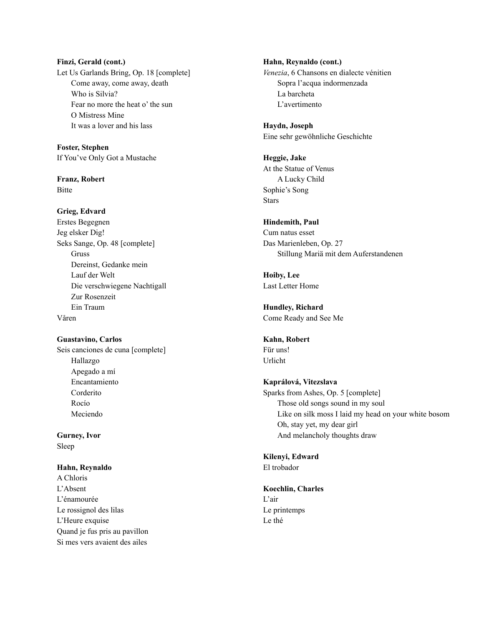**Finzi, Gerald (cont.)** Let Us Garlands Bring, Op. 18 [complete] Come away, come away, death Who is Silvia? Fear no more the heat o' the sun O Mistress Mine It was a lover and his lass

**Foster, Stephen** If You've Only Got a Mustache

**Franz, Robert** Bitte

**Grieg, Edvard** Erstes Begegnen Jeg elsker Dig! Seks Sange, Op. 48 [complete] Gruss Dereinst, Gedanke mein Lauf der Welt Die verschwiegene Nachtigall Zur Rosenzeit Ein Traum Våren

**Guastavino, Carlos** Seis canciones de cuna [complete] Hallazgo Apegado a mí Encantamiento Corderito Rocío Meciendo

**Gurney, Ivor** Sleep

**Hahn, Reynaldo** A Chloris L'Absent L'énamourée Le rossignol des lilas L'Heure exquise Quand je fus pris au pavillon Si mes vers avaient des ailes

**Hahn, Reynaldo (cont.)** *Venezia*, 6 Chansons en dialecte vénitien Sopra l'acqua indormenzada La barcheta L'avertimento

**Haydn, Joseph** Eine sehr gewöhnliche Geschichte

**Heggie, Jake** At the Statue of Venus A Lucky Child Sophie's Song **Stars** 

**Hindemith, Paul** Cum natus esset Das Marienleben, Op. 27 Stillung Mariä mit dem Auferstandenen

**Hoiby, Lee** Last Letter Home

**Hundley, Richard** Come Ready and See Me

**Kahn, Robert** Für uns! Urlicht

**Kaprálová, Vitezslava** Sparks from Ashes, Op. 5 [complete] Those old songs sound in my soul Like on silk moss I laid my head on your white bosom Oh, stay yet, my dear girl And melancholy thoughts draw

**Kilenyi, Edward** El trobador

**Koechlin, Charles** L'air Le printemps Le thé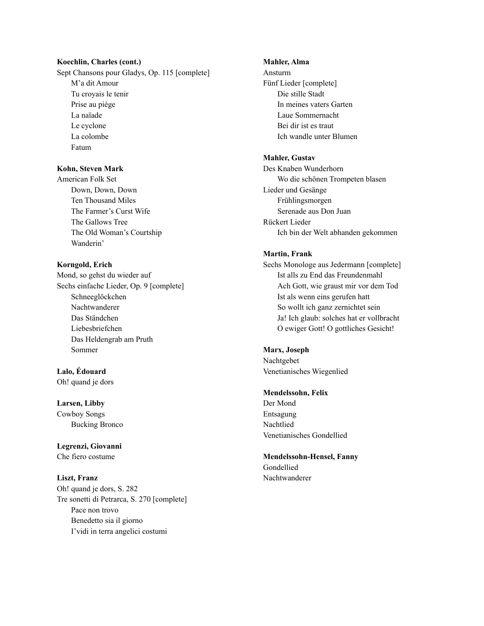### **Koechlin, Charles (cont.)**

Sept Chansons pour Gladys, Op. 115 [complete] M'a dit Amour Tu croyais le tenir Prise au piège La naïade Le cyclone La colombe Fatum

# **Kohn, Steven Mark**

American Folk Set Down, Down, Down Ten Thousand Miles The Farmer's Curst Wife The Gallows Tree The Old Woman's Courtship Wanderin'

## **Korngold, Erich**

Mond, so gehst du wieder auf Sechs einfache Lieder, Op. 9 [complete] Schneeglöckchen Nachtwanderer Das Ständchen Liebesbriefchen Das Heldengrab am Pruth Sommer

**Lalo, Édouard** Oh! quand je dors

#### **Larsen, Libby**

Cowboy Songs Bucking Bronco

**Legrenzi, Giovanni** Che fiero costume

#### **Liszt, Franz**

Oh! quand je dors, S. 282 Tre sonetti di Petrarca, S. 270 [complete] Pace non trovo Benedetto sia il giorno I'vidi in terra angelici costumi

#### **Mahler, Alma**

Ansturm Fünf Lieder [complete] Die stille Stadt In meines vaters Garten Laue Sommernacht Bei dir ist es traut Ich wandle unter Blumen

## **Mahler, Gustav**

Des Knaben Wunderhorn Wo die schönen Trompeten blasen Lieder und Gesänge Frühlingsmorgen Serenade aus Don Juan Rückert Lieder Ich bin der Welt abhanden gekommen

#### **Martin, Frank**

Sechs Monologe aus Jedermann [complete] Ist alls zu End das Freundenmahl Ach Gott, wie graust mir vor dem Tod Ist als wenn eins gerufen hatt So wollt ich ganz zernichtet sein Ja! Ich glaub: solches hat er vollbracht O ewiger Gott! O gottliches Gesicht!

## **Marx, Joseph**

Nachtgebet Venetianisches Wiegenlied

#### **Mendelssohn, Felix**

Der Mond Entsagung Nachtlied Venetianisches Gondellied

**Mendelssohn-Hensel, Fanny** Gondellied Nachtwanderer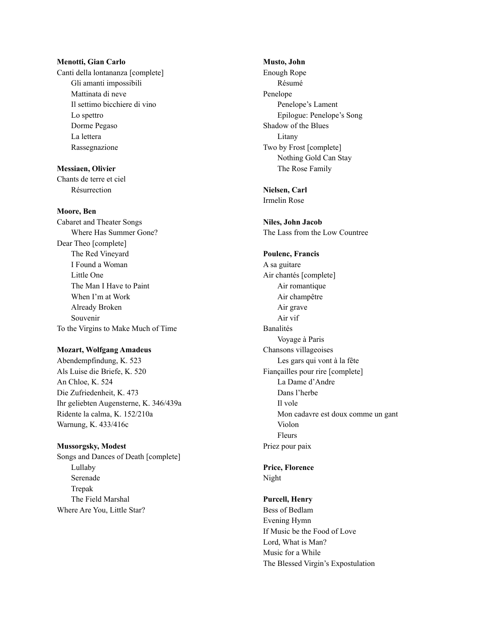#### **Menotti, Gian Carlo**

Canti della lontananza [complete] Gli amanti impossibili Mattinata di neve Il settimo bicchiere di vino Lo spettro Dorme Pegaso La lettera Rassegnazione

**Messiaen, Olivier** Chants de terre et ciel Résurrection

#### **Moore, Ben**

Cabaret and Theater Songs Where Has Summer Gone? Dear Theo [complete] The Red Vineyard I Found a Woman Little One The Man I Have to Paint When I'm at Work Already Broken Souvenir To the Virgins to Make Much of Time

#### **Mozart, Wolfgang Amadeus**

Abendempfindung, K. 523 Als Luise die Briefe, K. 520 An Chloe, K. 524 Die Zufriedenheit, K. 473 Ihr geliebten Augensterne, K. 346/439a Ridente la calma, K. 152/210a Warnung, K. 433/416c

#### **Mussorgsky, Modest**

Songs and Dances of Death [complete] Lullaby Serenade Trepak The Field Marshal Where Are You, Little Star?

**Musto, John** Enough Rope Résumé Penelope Penelope's Lament Epilogue: Penelope's Song Shadow of the Blues Litany Two by Frost [complete] Nothing Gold Can Stay The Rose Family

### **Nielsen, Carl** Irmelin Rose

**Niles, John Jacob** The Lass from the Low Countree

### **Poulenc, Francis**

A sa guitare Air chantés [complete] Air romantique Air champêtre Air grave Air vif Banalités Voyage à Paris Chansons villageoises Les gars qui vont à la fête Fiançailles pour rire [complete] La Dame d'Andre Dans l'herbe Il vole Mon cadavre est doux comme un gant Violon Fleurs Priez pour paix

### **Price, Florence** Night

## **Purcell, Henry**

Bess of Bedlam Evening Hymn If Music be the Food of Love Lord, What is Man? Music for a While The Blessed Virgin's Expostulation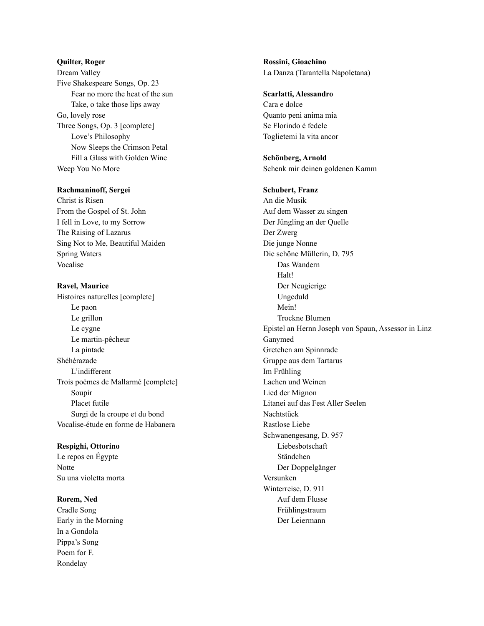### **Quilter, Roger**

Dream Valley Five Shakespeare Songs, Op. 23 Fear no more the heat of the sun Take, o take those lips away Go, lovely rose Three Songs, Op. 3 [complete] Love's Philosophy Now Sleeps the Crimson Petal Fill a Glass with Golden Wine Weep You No More

### **Rachmaninoff, Sergei**

Christ is Risen From the Gospel of St. John I fell in Love, to my Sorrow The Raising of Lazarus Sing Not to Me, Beautiful Maiden Spring Waters Vocalise

### **Ravel, Maurice**

Histoires naturelles [complete] Le paon Le grillon Le cygne Le martin-pêcheur La pintade Shéhérazade L'indifferent Trois poèmes de Mallarmé [complete] Soupir Placet futile Surgi de la croupe et du bond Vocalise-étude en forme de Habanera

## **Respighi, Ottorino**

Le repos en Égypte Notte Su una violetta morta

## **Rorem, Ned**

Cradle Song Early in the Morning In a Gondola Pippa's Song Poem for F. Rondelay

**Rossini, Gioachino** La Danza (Tarantella Napoletana)

#### **Scarlatti, Alessandro**

Cara e dolce Quanto peni anima mia Se Florindo è fedele Toglietemi la vita ancor

**Schönberg, Arnold** Schenk mir deinen goldenen Kamm

#### **Schubert, Franz**

An die Musik Auf dem Wasser zu singen Der Jüngling an der Quelle Der Zwerg Die junge Nonne Die schöne Müllerin, D. 795 Das Wandern Halt! Der Neugierige Ungeduld Mein! Trockne Blumen Epistel an Hernn Joseph von Spaun, Assessor in Linz Ganymed Gretchen am Spinnrade Gruppe aus dem Tartarus Im Frühling Lachen und Weinen Lied der Mignon Litanei auf das Fest Aller Seelen Nachtstück Rastlose Liebe Schwanengesang, D. 957 Liebesbotschaft Ständchen Der Doppelgänger Versunken Winterreise, D. 911 Auf dem Flusse Frühlingstraum Der Leiermann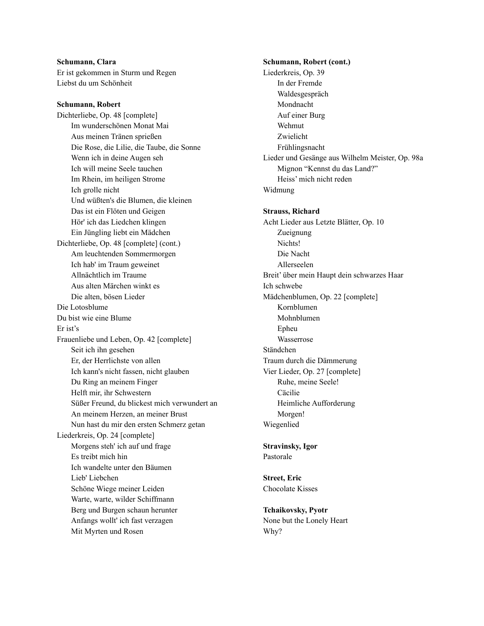**Schumann, Clara** Er ist gekommen in Sturm und Regen Liebst du um Schönheit

**Schumann, Robert**

Dichterliebe, Op. 48 [complete] Im wunderschönen Monat Mai Aus meinen Tränen sprießen Die Rose, die Lilie, die Taube, die Sonne Wenn ich in deine Augen seh Ich will meine Seele tauchen Im Rhein, im heiligen Strome Ich grolle nicht Und wüßten's die Blumen, die kleinen Das ist ein Flöten und Geigen Hör' ich das Liedchen klingen Ein Jüngling liebt ein Mädchen Dichterliebe, Op. 48 [complete] (cont.) Am leuchtenden Sommermorgen Ich hab' im Traum geweinet Allnächtlich im Traume Aus alten Märchen winkt es Die alten, bösen Lieder Die Lotosblume Du bist wie eine Blume Er ist's Frauenliebe und Leben, Op. 42 [complete] Seit ich ihn gesehen Er, der Herrlichste von allen Ich kann's nicht fassen, nicht glauben Du Ring an meinem Finger Helft mir, ihr Schwestern Süßer Freund, du blickest mich verwundert an An meinem Herzen, an meiner Brust Nun hast du mir den ersten Schmerz getan Liederkreis, Op. 24 [complete] Morgens steh' ich auf und frage Es treibt mich hin Ich wandelte unter den Bäumen Lieb' Liebchen Schöne Wiege meiner Leiden Warte, warte, wilder Schiffmann Berg und Burgen schaun herunter Anfangs wollt' ich fast verzagen Mit Myrten und Rosen

**Schumann, Robert (cont.)** Liederkreis, Op. 39 In der Fremde Waldesgespräch Mondnacht Auf einer Burg Wehmut Zwielicht Frühlingsnacht Lieder und Gesänge aus Wilhelm Meister, Op. 98a Mignon "Kennst du das Land?" Heiss' mich nicht reden Widmung **Strauss, Richard** Acht Lieder aus Letzte Blätter, Op. 10 Zueignung Nichts! Die Nacht Allerseelen Breit' über mein Haupt dein schwarzes Haar Ich schwebe Mädchenblumen, Op. 22 [complete] Kornblumen Mohnblumen Epheu Wasserrose Ständchen Traum durch die Dämmerung Vier Lieder, Op. 27 [complete] Ruhe, meine Seele! Cäcilie Heimliche Aufforderung Morgen! Wiegenlied **Stravinsky, Igor** Pastorale **Street, Eric** Chocolate Kisses

**Tchaikovsky, Pyotr** None but the Lonely Heart Why?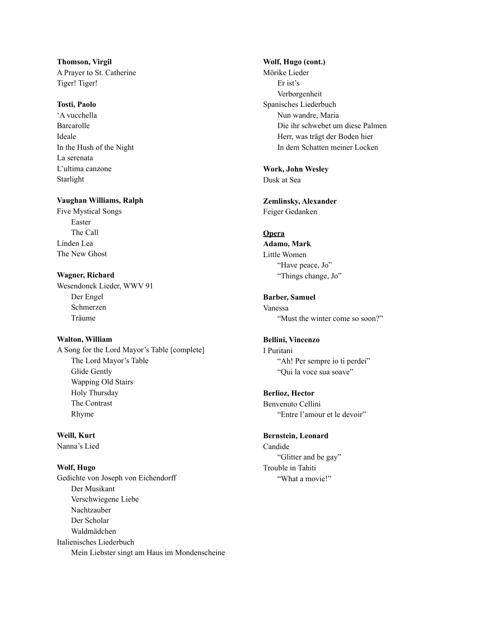**Thomson, Virgil** A Prayer to St. Catherine Tiger! Tiger!

## **Tosti, Paolo**

'A vucchella Barcarolle Ideale In the Hush of the Night La serenata L'ultima canzone Starlight

## **Vaughan Williams, Ralph**

Five Mystical Songs Easter The Call Linden Lea The New Ghost

**Wagner, Richard** Wesendonck Lieder, WWV 91 Der Engel Schmerzen Träume

**Walton, William** A Song for the Lord Mayor's Table [complete] The Lord Mayor's Table Glide Gently Wapping Old Stairs Holy Thursday The Contrast Rhyme

**Weill, Kurt** Nanna's Lied

**Wolf, Hugo** Gedichte von Joseph von Eichendorff Der Musikant Verschwiegene Liebe Nachtzauber Der Scholar Waldmädchen Italienisches Liederbuch Mein Liebster singt am Haus im Mondenscheine

#### **Wolf, Hugo (cont.)**

Mörike Lieder Er ist's Verborgenheit Spanisches Liederbuch Nun wandre, Maria Die ihr schwebet um diese Palmen Herr, was trägt der Boden hier In dem Schatten meiner Locken

**Work, John Wesley** Dusk at Sea

**Zemlinsky, Alexander** Feiger Gedanken

## **Opera**

**Adamo, Mark** Little Women "Have peace, Jo" "Things change, Jo"

**Barber, Samuel** Vanessa "Must the winter come so soon?"

# **Bellini, Vincenzo**

I Puritani "Ah! Per sempre io ti perdei" "Qui la voce sua soave"

**Berlioz, Hector** Benvenuto Cellini

"Entre l'amour et le devoir"

## **Bernstein, Leonard**

Candide "Glitter and be gay" Trouble in Tahiti "What a movie!"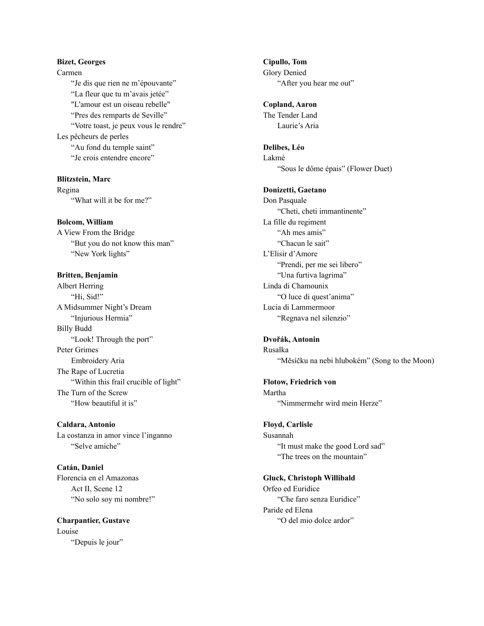# **Bizet, Georges** Carmen "Je dis que rien ne m'épouvante" "La fleur que tu m'avais jetée" "L'amour est un oiseau rebelle" "Pres des remparts de Seville" "Votre toast, je peux vous le rendre" Les pêcheurs de perles "Au fond du temple saint" "Je crois entendre encore"

**Blitzstein, Marc** Regina "What will it be for me?"

**Bolcom, William** A View From the Bridge "But you do not know this man" "New York lights"

**Britten, Benjamin** Albert Herring "Hi, Sid!" A Midsummer Night's Dream "Injurious Hermia" Billy Budd "Look! Through the port" Peter Grimes Embroidery Aria The Rape of Lucretia "Within this frail crucible of light" The Turn of the Screw "How beautiful it is"

**Caldara, Antonio** La costanza in amor vince l'inganno "Selve amiche"

**Catán, Daniel** Florencia en el Amazonas Act II, Scene 12 "No solo soy mi nombre!"

**Charpantier, Gustave** Louise "Depuis le jour"

**Cipullo, Tom** Glory Denied "After you hear me out"

**Copland, Aaron** The Tender Land Laurie's Aria

**Delibes, Léo** Lakmé "Sous le dôme épais" (Flower Duet)

**Donizetti, Gaetano** Don Pasquale "Cheti, cheti immantinente" La fille du regiment "Ah mes amis" "Chacun le sait" L'Elisir d'Amore "Prendi, per me sei libero" "Una furtiva lagrima" Linda di Chamounix "O luce di quest'anima" Lucia di Lammermoor "Regnava nel silenzio"

**Dvořák, Antonin** Rusalka "Měsíčku na nebi hlubokém" (Song to the Moon)

**Flotow, Friedrich von** Martha "Nimmermehr wird mein Herze"

**Floyd, Carlisle** Susannah "It must make the good Lord sad" "The trees on the mountain"

**Gluck, Christoph Willibald** Orfeo ed Euridice "Che faro senza Euridice" Paride ed Elena "O del mio dolce ardor"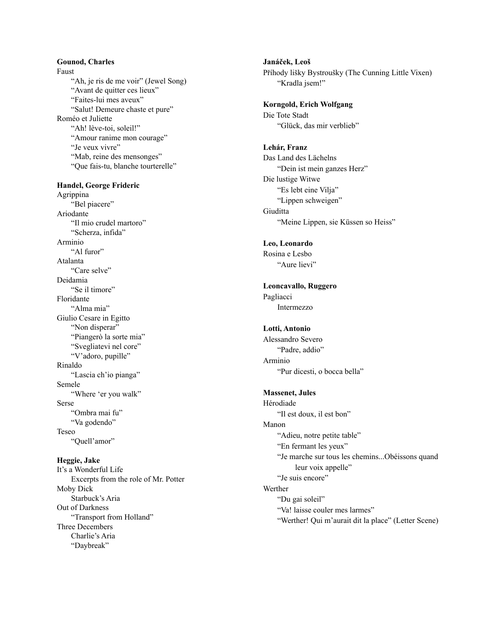# Gounod, Charles Faus<sup>1</sup> t<br>"Ah, je ris de me voir" (Jewel Song) "Avant de quitter ces lieux" "Faites-lui mes aveux" "Salut! Demeure chaste et pure" Roméo et Juliette "Ah! lève-toi, soleil!" "Amour ranime mon courage" "Je veux vivre"

"Mab, reine des mensonges" "Que fais-tu, blanche tourterelle"

## Handel, George Frideric

Agrippina "Bel piacere" Ariodante "Il mio crudel martoro" "Scherza, infida" Arminio "Al furor" Atalanta "Care selve" Deidamia "Se il timore" Floridante "Alma mia" Giulio Cesare in Egitto "Non disperar" "Piangerò la sorte mia" "Svegliatevi nel core" "V'adoro, pupille" Rinaldo "Lascia ch'io pianga" Semele "Where 'er you walk" Sers e<br>"Ombra mai fu" "Va godendo" **Tese** o<br>"Quell'amor"

**Heggie, Jake** 

It's a Wonderful Life Excerpts from the role of Mr. Potter Moby Dick Starbuck's Aria Out of Darkness "Transport from Holland" Three Decembers Charlie's Aria "Daybreak"

**J a n á č e k , L e o š** Příhody lišky Bystroušky (The Cunning Little Vixen) "Kradla jsem!"

**Korngold, Erich Wolfgang** Die Tote Stadt "Glück, das mir verblieb"

#### **L e h á r, F r a n z**

Das Land des Lächelns "Dein ist mein ganzes Herz" Die lustige Witwe "Es lebt eine Vilja" "Lippen schweigen" Giuditta "Meine Lippen, sie Küssen so Heiss"

# Leo, Leonardo

Rosina e Lesbo "Aure lievi"

# Leoncavallo, Ruggero Pagliacci Intermezzo

# Lotti, Antonio

Alessandro Severo "Padre, addio" Arminio "Pur dicesti, o bocca bella"

## **Massenet, Jules**

Hérodiade "Il est doux, il est bon" Manon "Adieu, notre petite table" "En fermant les yeux" "Je marche sur tous les chemins...Obéissons quand leur voix appelle" "Je suis encore" Werther "Du gai soleil" "Va! laisse couler mes larmes" "Werther! Qui m'aurait dit la place" (Letter Scene)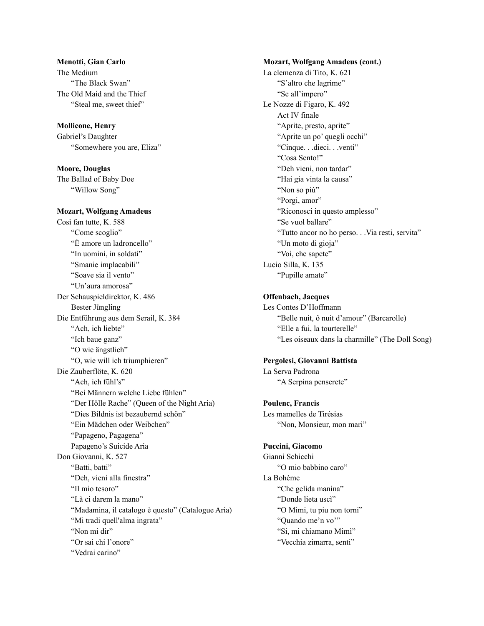# **Menotti, Gian Carlo** The Medium "The Black Swan" The Old Maid and the Thief "Steal me, sweet thief"

**Mollicone, Henry** Gabriel's Daughter

"Somewhere you are, Eliza"

**Moore, Douglas** The Ballad of Baby Doe "Willow Song"

## **Mozart, Wolfgang Amadeus**

Così fan tutte, K. 588 "Come scoglio" "È amore un ladroncello" "In uomini, in soldati" "Smanie implacabili" "Soave sia il vento" "Un'aura amorosa" Der Schauspieldirektor, K. 486 Bester Jüngling Die Entführung aus dem Serail, K. 384 "Ach, ich liebte" "Ich baue ganz" "O wie ängstlich" "O, wie will ich triumphieren" Die Zauberflöte, K. 620 "Ach, ich fühl's" "Bei Männern welche Liebe fühlen" "Der Hölle Rache" (Queen of the Night Aria) "Dies Bildnis ist bezaubernd schön" "Ein Mädchen oder Weibchen" "Papageno, Pagagena" Papageno's Suicide Aria Don Giovanni, K. 527 "Batti, batti" "Deh, vieni alla finestra" "Il mio tesoro" "Là ci darem la mano" "Madamina, il catalogo è questo" (Catalogue Aria) "Mi tradi quell'alma ingrata" "Non mi dir" "Or sai chi l'onore" "Vedrai carino"

**Mozart, Wolfgang Amadeus (cont.)** La clemenza di Tito, K. 621 "S'altro che lagrime" "Se all'impero" Le Nozze di Figaro, K. 492 Act IV finale "Aprite, presto, aprite" "Aprite un po' quegli occhi" "Cinque. . .dieci. . .venti" "Cosa Sento!" "Deh vieni, non tardar" "Hai gia vinta la causa" "Non so più" "Porgi, amor" "Riconosci in questo amplesso" "Se vuol ballare" "Tutto ancor no ho perso. . .Via resti, servita" "Un moto di gioja" "Voi, che sapete" Lucio Silla, K. 135 "Pupille amate"

# **Offenbach, Jacques**

Les Contes D'Hoffmann "Belle nuit, ô nuit d'amour" (Barcarolle) "Elle a fui, la tourterelle" "Les oiseaux dans la charmille" (The Doll Song)

## **Pergolesi, Giovanni Battista**

La Serva Padrona "A Serpina penserete"

**Poulenc, Francis** Les mamelles de Tirésias "Non, Monsieur, mon mari"

## **Puccini, Giacomo**

Gianni Schicchi "O mio babbino caro" La Bohème "Che gelida manina" "Donde lieta uscì" "O Mimi, tu piu non torni" "Quando me'n vo'" "Si, mi chiamano Mimì" "Vecchia zimarra, senti"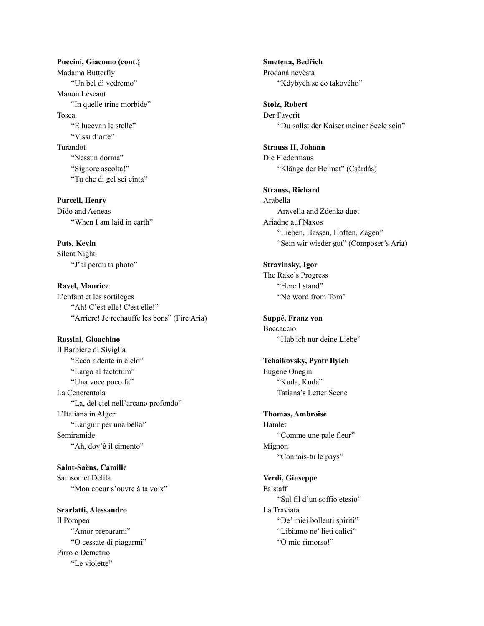# **Puccini, Giacomo (cont.)** Madama Butterfly "Un bel dì vedremo" Manon Lescaut "In quelle trine morbide" Tosca "E lucevan le stelle" "Vissi d'arte" Turandot "Nessun dorma" "Signore ascolta!" "Tu che di gel sei cinta"

**Purcell, Henry** Dido and Aeneas "When I am laid in earth"

**Puts, Kevin** Silent Night "J'ai perdu ta photo"

**Ravel, Maurice** L'enfant et les sortileges "Ah! C'est elle! C'est elle!" "Arriere! Je rechauffe les bons" (Fire Aria)

**Rossini, Gioachino** Il Barbiere di Siviglia "Ecco ridente in cielo" "Largo al factotum" "Una voce poco fa" La Cenerentola "La, del ciel nell'arcano profondo" L'Italiana in Algeri "Languir per una bella" Semiramide "Ah, dov'è il cimento"

**Saint-Saëns, Camille** Samson et Delila "Mon coeur s'ouvre à ta voix"

**Scarlatti, Alessandro** Il Pompeo "Amor preparami" "O cessate di piagarmi" Pirro e Demetrio "Le violette"

**Smetena, Bedřich** Prodaná nevěsta "Kdybych se co takového"

**Stolz, Robert** Der Favorit "Du sollst der Kaiser meiner Seele sein"

**Strauss II, Johann** Die Fledermaus "Klänge der Heimat" (Csárdás)

**Strauss, Richard** Arabella Aravella and Zdenka duet Ariadne auf Naxos "Lieben, Hassen, Hoffen, Zagen" "Sein wir wieder gut" (Composer's Aria)

**Stravinsky, Igor** The Rake's Progress "Here I stand" "No word from Tom"

**Suppé, Franz von** Boccaccio "Hab ich nur deine Liebe"

**Tchaikovsky, Pyotr Ilyich** Eugene Onegin "Kuda, Kuda" Tatiana's Letter Scene

**Thomas, Ambroise** Hamlet "Comme une pale fleur" Mignon "Connais-tu le pays"

**Verdi, Giuseppe** Falstaff "Sul fil d'un soffio etesio" La Traviata "De' miei bollenti spiriti" "Libiamo ne' lieti calici" "O mio rimorso!"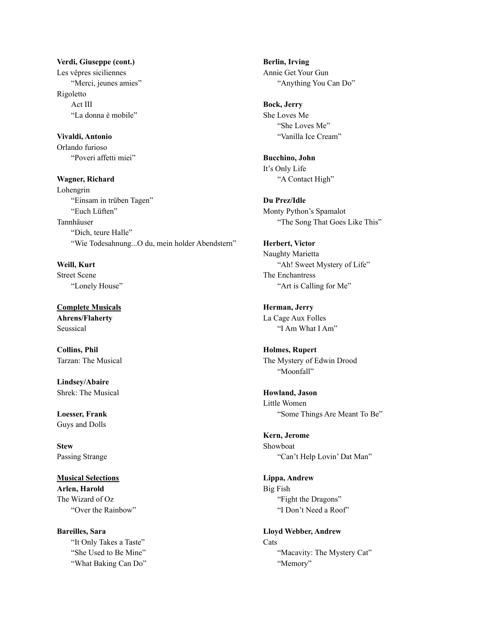**Verdi, Giuseppe (cont.)** Les vêpres siciliennes "Merci, jeunes amies" Rigoletto Act III "La donna è mobile"

**Vivaldi, Antonio** Orlando furioso "Poveri affetti miei"

**Wagner, Richard** Lohengrin "Einsam in trüben Tagen" "Euch Lüften" Tannhäuser "Dich, teure Halle" "Wie Todesahnung...O du, mein holder Abendstern"

**Weill, Kurt** Street Scene "Lonely House"

**Complete Musicals Ahrens/Flaherty** Seussical

**Collins, Phil** Tarzan: The Musical

**Lindsey/Abaire** Shrek: The Musical

**Loesser, Frank** Guys and Dolls

**Stew** Passing Strange

**Musical Selections Arlen, Harold** The Wizard of Oz "Over the Rainbow"

**Bareilles, Sara** "It Only Takes a Taste" "She Used to Be Mine" "What Baking Can Do" **Berlin, Irving** Annie Get Your Gun "Anything You Can Do"

**Bock, Jerry** She Loves Me "She Loves Me" "Vanilla Ice Cream"

**Bucchino, John** It's Only Life "A Contact High"

**Du Prez/Idle** Monty Python's Spamalot "The Song That Goes Like This"

**Herbert, Victor** Naughty Marietta "Ah! Sweet Mystery of Life" The Enchantress "Art is Calling for Me"

**Herman, Jerry** La Cage Aux Folles "I Am What I Am"

**Holmes, Rupert** The Mystery of Edwin Drood "Moonfall"

**Howland, Jason** Little Women "Some Things Are Meant To Be"

**Kern, Jerome** Showboat "Can't Help Lovin' Dat Man"

**Lippa, Andrew** Big Fish "Fight the Dragons" "I Don't Need a Roof"

**Lloyd Webber, Andrew** Cats "Macavity: The Mystery Cat" "Memory"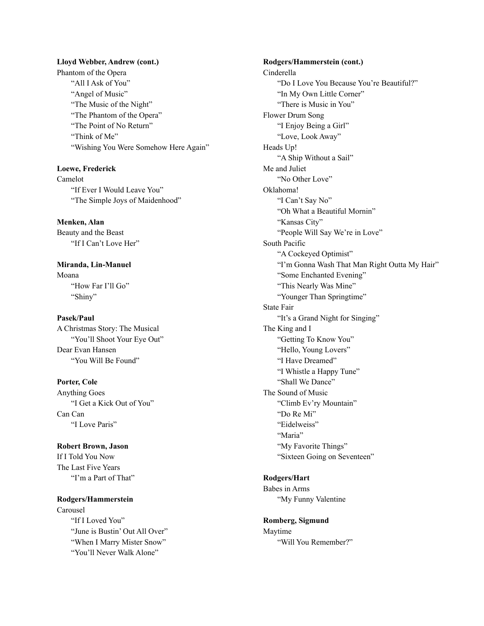#### **Lloyd Webber, Andrew (cont.)**

Phantom of the Opera "All I Ask of You" "Angel of Music" "The Music of the Night" "The Phantom of the Opera" "The Point of No Return" "Think of Me" "Wishing You Were Somehow Here Again"

**Loewe, Frederick** Camelot "If Ever I Would Leave You" "The Simple Joys of Maidenhood"

**Menken, Alan** Beauty and the Beast "If I Can't Love Her"

**Miranda, Lin-Manuel** Moana "How Far I'll Go" "Shiny"

**Pasek/Paul**

A Christmas Story: The Musical "You'll Shoot Your Eye Out" Dear Evan Hansen "You Will Be Found"

**Porter, Cole**

Anything Goes "I Get a Kick Out of You" Can Can "I Love Paris"

**Robert Brown, Jason** If I Told You Now The Last Five Years "I'm a Part of That"

**Rodgers/Hammerstein**

Carousel "If I Loved You" "June is Bustin' Out All Over" "When I Marry Mister Snow" "You'll Never Walk Alone"

**Rodgers/Hammerstein (cont.)** Cinderella "Do I Love You Because You're Beautiful?" "In My Own Little Corner" "There is Music in You" Flower Drum Song "I Enjoy Being a Girl" "Love, Look Away" Heads Up! "A Ship Without a Sail" Me and Juliet "No Other Love" Oklahoma! "I Can't Say No" "Oh What a Beautiful Mornin" "Kansas City" "People Will Say We're in Love" South Pacific "A Cockeyed Optimist" "I'm Gonna Wash That Man Right Outta My Hair" "Some Enchanted Evening" "This Nearly Was Mine" "Younger Than Springtime" State Fair "It's a Grand Night for Singing" The King and I "Getting To Know You" "Hello, Young Lovers" "I Have Dreamed" "I Whistle a Happy Tune" "Shall We Dance" The Sound of Music "Climb Ev'ry Mountain" "Do Re Mi" "Eidelweiss" "Maria" "My Favorite Things" "Sixteen Going on Seventeen"

# **Rodgers/Hart**

Babes in Arms "My Funny Valentine

**Romberg, Sigmund** Maytime "Will You Remember?"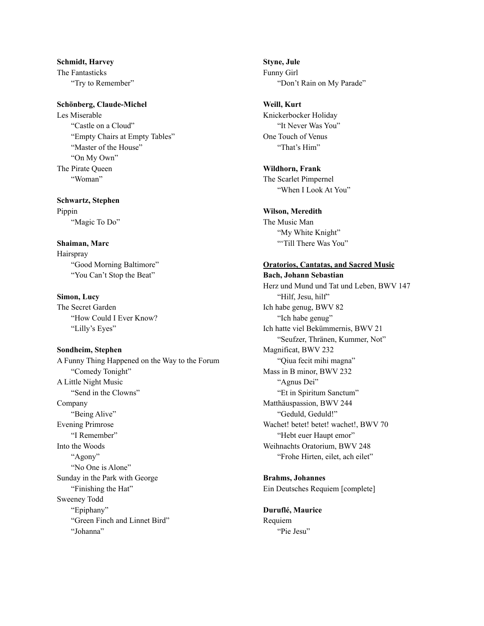**Schmidt, Harvey** The Fantasticks "Try to Remember"

#### **Schönberg, Claude-Michel**

Les Miserable "Castle on a Cloud" "Empty Chairs at Empty Tables" "Master of the House" "On My Own" The Pirate Queen "Woman"

**Schwartz, Stephen** Pippin "Magic To Do"

**Shaiman, Marc** Hairspray "Good Morning Baltimore" "You Can't Stop the Beat"

**Simon, Lucy** The Secret Garden "How Could I Ever Know? "Lilly's Eyes"

**Sondheim, Stephen** A Funny Thing Happened on the Way to the Forum "Comedy Tonight" A Little Night Music "Send in the Clowns" Company "Being Alive" Evening Primrose "I Remember" Into the Woods "Agony" "No One is Alone" Sunday in the Park with George "Finishing the Hat" Sweeney Todd "Epiphany" "Green Finch and Linnet Bird" "Johanna"

**Styne, Jule** Funny Girl "Don't Rain on My Parade"

**Weill, Kurt** Knickerbocker Holiday "It Never Was You" One Touch of Venus "That's Him"

**Wildhorn, Frank** The Scarlet Pimpernel "When I Look At You"

**Wilson, Meredith** The Music Man "My White Knight" ""Till There Was You"

## **Oratorios, Cantatas, and Sacred Music**

**Bach, Johann Sebastian** Herz und Mund und Tat und Leben, BWV 147 "Hilf, Jesu, hilf" Ich habe genug, BWV 82 "Ich habe genug" Ich hatte viel Bekümmernis, BWV 21 "Seufzer, Thränen, Kummer, Not" Magnificat, BWV 232 "Qiua fecit mihi magna" Mass in B minor, BWV 232 "Agnus Dei" "Et in Spiritum Sanctum" Matthäuspassion, BWV 244 "Geduld, Geduld!" Wachet! betet! betet! wachet!, BWV 70 "Hebt euer Haupt emor" Weihnachts Oratorium, BWV 248 "Frohe Hirten, eilet, ach eilet"

**Brahms, Johannes** Ein Deutsches Requiem [complete]

**Duruflé, Maurice** Requiem "Pie Jesu"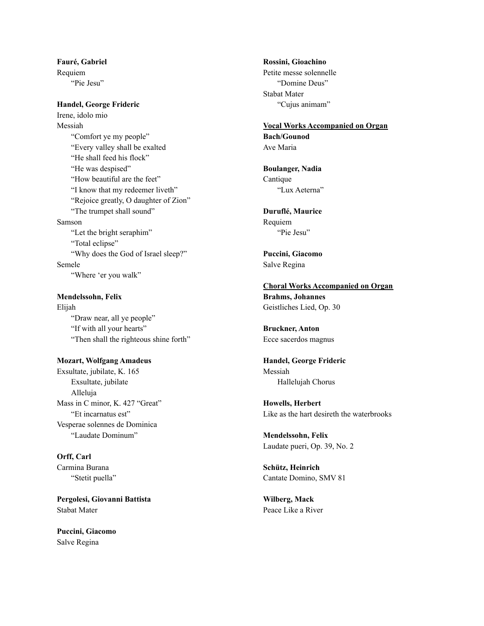**Fauré, Gabriel** Requiem "Pie Jesu"

#### **Handel, George Frideric**

Irene, idolo mio Messiah "Comfort ye my people" "Every valley shall be exalted "He shall feed his flock" "He was despised" "How beautiful are the feet" "I know that my redeemer liveth" "Rejoice greatly, O daughter of Zion" "The trumpet shall sound" Samson "Let the bright seraphim" "Total eclipse" "Why does the God of Israel sleep?" Semele "Where 'er you walk"

**Mendelssohn, Felix** Elijah "Draw near, all ye people" "If with all your hearts" "Then shall the righteous shine forth"

**Mozart, Wolfgang Amadeus** Exsultate, jubilate, K. 165 Exsultate, jubilate Alleluja Mass in C minor, K. 427 "Great" "Et incarnatus est" Vesperae solennes de Dominica "Laudate Dominum"

**Orff, Carl** Carmina Burana "Stetit puella"

**Pergolesi, Giovanni Battista** Stabat Mater

**Puccini, Giacomo** Salve Regina

**Rossini, Gioachino** Petite messe solennelle "Domine Deus" Stabat Mater "Cujus animam"

**Vocal Works Accompanied on Organ Bach/Gounod** Ave Maria

**Boulanger, Nadia** Cantique "Lux Aeterna"

**Duruflé, Maurice** Requiem "Pie Jesu"

**Puccini, Giacomo** Salve Regina

**Choral Works Accompanied on Organ Brahms, Johannes** Geistliches Lied, Op. 30

**Bruckner, Anton** Ecce sacerdos magnus

**Handel, George Frideric** Messiah Hallelujah Chorus

**Howells, Herbert** Like as the hart desireth the waterbrooks

**Mendelssohn, Felix** Laudate pueri, Op. 39, No. 2

**Schütz, Heinrich** Cantate Domino, SMV 81

**Wilberg, Mack** Peace Like a River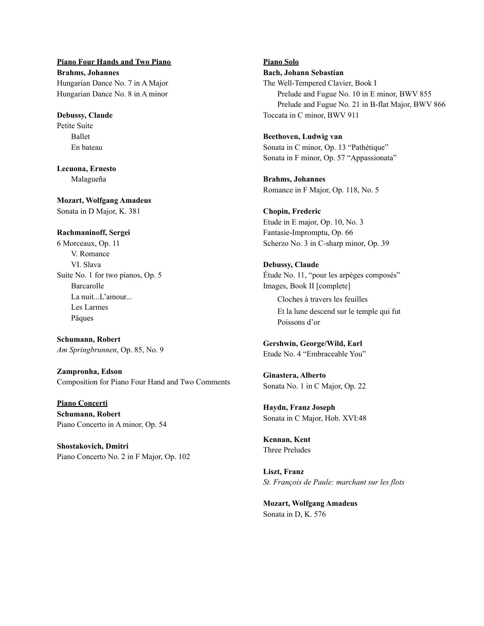**Piano Four Hands and Two Piano Brahms, Johannes** Hungarian Dance No. 7 in A Major Hungarian Dance No. 8 in A minor

**Debussy, Claude** Petite Suite Ballet En bateau

**Lecuona, Ernesto** Malagueña

**Mozart, Wolfgang Amadeus** Sonata in D Major, K. 381

**Rachmaninoff, Sergei**

6 Morceaux, Op. 11 V. Romance VI. Slava Suite No. 1 for two pianos, Op. 5 Barcarolle La nuit...L'amour... Les Larmes Pâques

**Schumann, Robert** *Am Springbrunnen*, Op. 85, No. 9

**Zampronha, Edson** Composition for Piano Four Hand and Two Comments

**Piano Concerti Schumann, Robert** Piano Concerto in A minor, Op. 54

**Shostakovich, Dmitri** Piano Concerto No. 2 in F Major, Op. 102 **Piano Solo Bach, Johann Sebastian** The Well-Tempered Clavier, Book I Prelude and Fugue No. 10 in E minor, BWV 855 Prelude and Fugue No. 21 in B-flat Major, BWV 866 Toccata in C minor, BWV 911

**Beethoven, Ludwig van** Sonata in C minor, Op. 13 "Pathétique" Sonata in F minor, Op. 57 "Appassionata"

**Brahms, Johannes** Romance in F Major, Op. 118, No. 5

**Chopin, Frederic** Etude in E major, Op. 10, No. 3 Fantasie-Impromptu, Op. 66 Scherzo No. 3 in C-sharp minor, Op. 39

**Debussy, Claude** Étude No. 11, "pour les arpèges composés" Images, Book II [complete] Cloches à travers les feuilles

Et la lune descend sur le temple qui fut Poissons d'or

**Gershwin, George/Wild, Earl** Etude No. 4 "Embraceable You"

**Ginastera, Alberto** Sonata No. 1 in C Major, Op. 22

**Haydn, Franz Joseph** Sonata in C Major, Hob. XVI:48

**Kennan, Kent** Three Preludes

**Liszt, Franz** *St. François de Paule: marchant sur les flots*

**Mozart, Wolfgang Amadeus** Sonata in D, K. 576